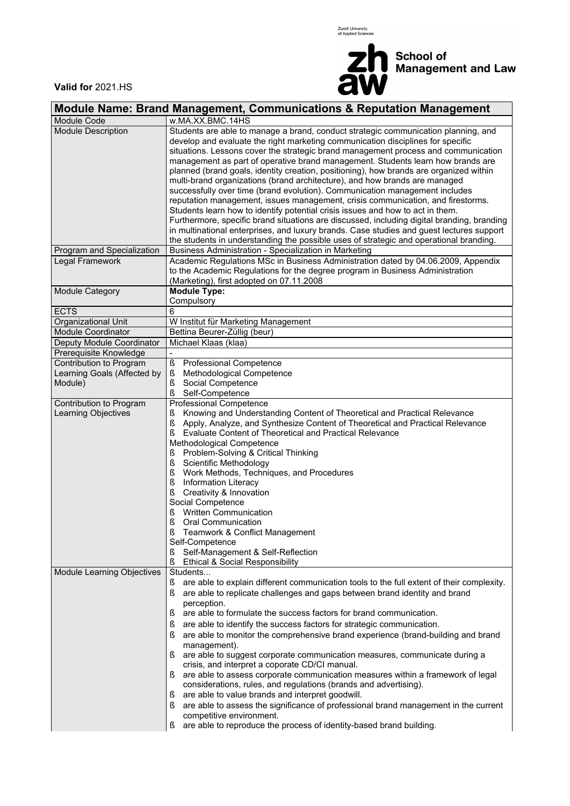



 $\overline{\phantom{0}}$ 

**Valid for** 2021.HS

|                                                | Module Name: Brand Management, Communications & Reputation Management                                                                                                                                                                                                                                                                                                                                                                                                                                                                                                                                                                                                                                                                                                                                                                                                                                                                                                                                                                   |  |  |  |  |  |
|------------------------------------------------|-----------------------------------------------------------------------------------------------------------------------------------------------------------------------------------------------------------------------------------------------------------------------------------------------------------------------------------------------------------------------------------------------------------------------------------------------------------------------------------------------------------------------------------------------------------------------------------------------------------------------------------------------------------------------------------------------------------------------------------------------------------------------------------------------------------------------------------------------------------------------------------------------------------------------------------------------------------------------------------------------------------------------------------------|--|--|--|--|--|
| Module Code                                    | w.MA.XX.BMC.14HS                                                                                                                                                                                                                                                                                                                                                                                                                                                                                                                                                                                                                                                                                                                                                                                                                                                                                                                                                                                                                        |  |  |  |  |  |
| <b>Module Description</b>                      | Students are able to manage a brand, conduct strategic communication planning, and<br>develop and evaluate the right marketing communication disciplines for specific<br>situations. Lessons cover the strategic brand management process and communication<br>management as part of operative brand management. Students learn how brands are<br>planned (brand goals, identity creation, positioning), how brands are organized within<br>multi-brand organizations (brand architecture), and how brands are managed<br>successfully over time (brand evolution). Communication management includes<br>reputation management, issues management, crisis communication, and firestorms.<br>Students learn how to identify potential crisis issues and how to act in them.<br>Furthermore, specific brand situations are discussed, including digital branding, branding                                                                                                                                                                |  |  |  |  |  |
|                                                | in multinational enterprises, and luxury brands. Case studies and guest lectures support<br>the students in understanding the possible uses of strategic and operational branding.                                                                                                                                                                                                                                                                                                                                                                                                                                                                                                                                                                                                                                                                                                                                                                                                                                                      |  |  |  |  |  |
| Program and Specialization                     | Business Administration - Specialization in Marketing                                                                                                                                                                                                                                                                                                                                                                                                                                                                                                                                                                                                                                                                                                                                                                                                                                                                                                                                                                                   |  |  |  |  |  |
| Legal Framework                                | Academic Regulations MSc in Business Administration dated by 04.06.2009, Appendix<br>to the Academic Regulations for the degree program in Business Administration<br>(Marketing), first adopted on 07.11.2008                                                                                                                                                                                                                                                                                                                                                                                                                                                                                                                                                                                                                                                                                                                                                                                                                          |  |  |  |  |  |
| Module Category                                | <b>Module Type:</b><br>Compulsory                                                                                                                                                                                                                                                                                                                                                                                                                                                                                                                                                                                                                                                                                                                                                                                                                                                                                                                                                                                                       |  |  |  |  |  |
| <b>ECTS</b>                                    | 6                                                                                                                                                                                                                                                                                                                                                                                                                                                                                                                                                                                                                                                                                                                                                                                                                                                                                                                                                                                                                                       |  |  |  |  |  |
| Organizational Unit                            | W Institut für Marketing Management                                                                                                                                                                                                                                                                                                                                                                                                                                                                                                                                                                                                                                                                                                                                                                                                                                                                                                                                                                                                     |  |  |  |  |  |
| <b>Module Coordinator</b>                      | Bettina Beurer-Züllig (beur)                                                                                                                                                                                                                                                                                                                                                                                                                                                                                                                                                                                                                                                                                                                                                                                                                                                                                                                                                                                                            |  |  |  |  |  |
| Deputy Module Coordinator                      | Michael Klaas (klaa)                                                                                                                                                                                                                                                                                                                                                                                                                                                                                                                                                                                                                                                                                                                                                                                                                                                                                                                                                                                                                    |  |  |  |  |  |
| Prerequisite Knowledge                         |                                                                                                                                                                                                                                                                                                                                                                                                                                                                                                                                                                                                                                                                                                                                                                                                                                                                                                                                                                                                                                         |  |  |  |  |  |
| Contribution to Program                        | $\S$<br>Professional Competence                                                                                                                                                                                                                                                                                                                                                                                                                                                                                                                                                                                                                                                                                                                                                                                                                                                                                                                                                                                                         |  |  |  |  |  |
| Learning Goals (Affected by                    | ş<br>Methodological Competence                                                                                                                                                                                                                                                                                                                                                                                                                                                                                                                                                                                                                                                                                                                                                                                                                                                                                                                                                                                                          |  |  |  |  |  |
| Module)                                        | Social Competence<br>ş                                                                                                                                                                                                                                                                                                                                                                                                                                                                                                                                                                                                                                                                                                                                                                                                                                                                                                                                                                                                                  |  |  |  |  |  |
|                                                | ş<br>Self-Competence                                                                                                                                                                                                                                                                                                                                                                                                                                                                                                                                                                                                                                                                                                                                                                                                                                                                                                                                                                                                                    |  |  |  |  |  |
| Contribution to Program<br>Learning Objectives | Professional Competence<br>Knowing and Understanding Content of Theoretical and Practical Relevance<br>ş<br>ş<br>Apply, Analyze, and Synthesize Content of Theoretical and Practical Relevance<br>Evaluate Content of Theoretical and Practical Relevance<br>ş<br>Methodological Competence<br>Problem-Solving & Critical Thinking<br>ş<br>ş<br>Scientific Methodology<br>Work Methods, Techniques, and Procedures<br>ş<br>ş<br><b>Information Literacy</b><br>ş<br>Creativity & Innovation                                                                                                                                                                                                                                                                                                                                                                                                                                                                                                                                             |  |  |  |  |  |
|                                                | Social Competence<br>Written Communication<br>ş<br>ş<br>Oral Communication<br>ξ                                                                                                                                                                                                                                                                                                                                                                                                                                                                                                                                                                                                                                                                                                                                                                                                                                                                                                                                                         |  |  |  |  |  |
|                                                | Teamwork & Conflict Management<br>Self-Competence<br>Self-Management & Self-Reflection<br>ş<br>ş<br>Ethical & Social Responsibility                                                                                                                                                                                                                                                                                                                                                                                                                                                                                                                                                                                                                                                                                                                                                                                                                                                                                                     |  |  |  |  |  |
| Module Learning Objectives                     | Students<br>are able to explain different communication tools to the full extent of their complexity.<br>Š<br>are able to replicate challenges and gaps between brand identity and brand<br>S<br>perception.<br>are able to formulate the success factors for brand communication.<br>ş<br>are able to identify the success factors for strategic communication.<br>S<br>are able to monitor the comprehensive brand experience (brand-building and brand<br>S<br>management).<br>are able to suggest corporate communication measures, communicate during a<br>S<br>crisis, and interpret a coporate CD/CI manual.<br>are able to assess corporate communication measures within a framework of legal<br>S<br>considerations, rules, and regulations (brands and advertising).<br>are able to value brands and interpret goodwill.<br>S<br>are able to assess the significance of professional brand management in the current<br>ş<br>competitive environment.<br>are able to reproduce the process of identity-based brand building. |  |  |  |  |  |
|                                                | ş                                                                                                                                                                                                                                                                                                                                                                                                                                                                                                                                                                                                                                                                                                                                                                                                                                                                                                                                                                                                                                       |  |  |  |  |  |